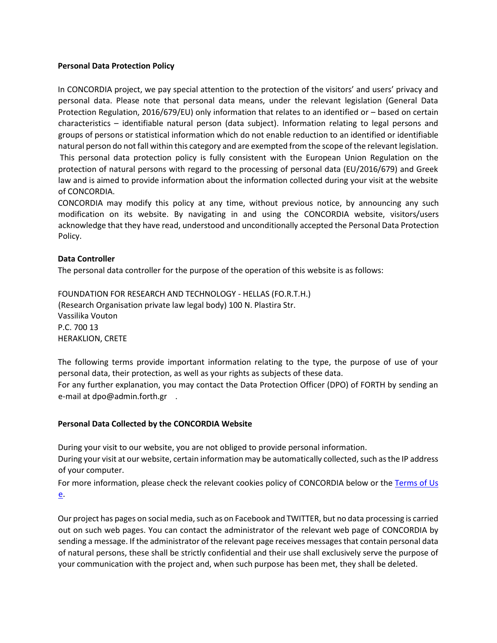#### **Personal Data Protection Policy**

In CONCORDIA project, we pay special attention to the protection of the visitors' and users' privacy and personal data. Please note that personal data means, under the relevant legislation (General Data Protection Regulation, 2016/679/EU) only information that relates to an identified or – based on certain characteristics – identifiable natural person (data subject). Information relating to legal persons and groups of persons or statistical information which do not enable reduction to an identified or identifiable natural person do not fall within this category and are exempted from the scope of the relevant legislation. This personal data protection policy is fully consistent with the European Union Regulation on the protection of natural persons with regard to the processing of personal data (EU/2016/679) and Greek law and is aimed to provide information about the information collected during your visit at the website of CONCORDIA.

CONCORDIA may modify this policy at any time, without previous notice, by announcing any such modification on its website. By navigating in and using the CONCORDIA website, visitors/users acknowledge that they have read, understood and unconditionally accepted the Personal Data Protection Policy.

# **Data Controller**

The personal data controller for the purpose of the operation of this website is as follows:

FOUNDATION FOR RESEARCH AND TECHNOLOGY - HELLAS (FO.R.T.H.) (Research Organisation private law legal body) 100 N. Plastira Str. Vassilika Vouton P.C. 700 13 HERAKLION, CRETE

The following terms provide important information relating to the type, the purpose of use of your personal data, their protection, as well as your rights as subjects of these data.

For any further explanation, you may contact the Data Protection Officer (DPO) of FORTH by sending an e-mail at dpo@admin.forth.gr .

#### **Personal Data Collected by the CONCORDIA Website**

During your visit to our website, you are not obliged to provide personal information.

During your visit at our website, certain information may be automatically collected, such as the IP address of your computer.

For more information, please check the relevant cookies policy of CONCORDIA below or the Terms of Us [e.](https://react-h2020.eu/m/ConditionofUseREACT_EN.pdf)

Our project has pages on social media, such as on Facebook and TWITTER, but no data processing is carried out on such web pages. You can contact the administrator of the relevant web page of CONCORDIA by sending a message. If the administrator of the relevant page receives messages that contain personal data of natural persons, these shall be strictly confidential and their use shall exclusively serve the purpose of your communication with the project and, when such purpose has been met, they shall be deleted.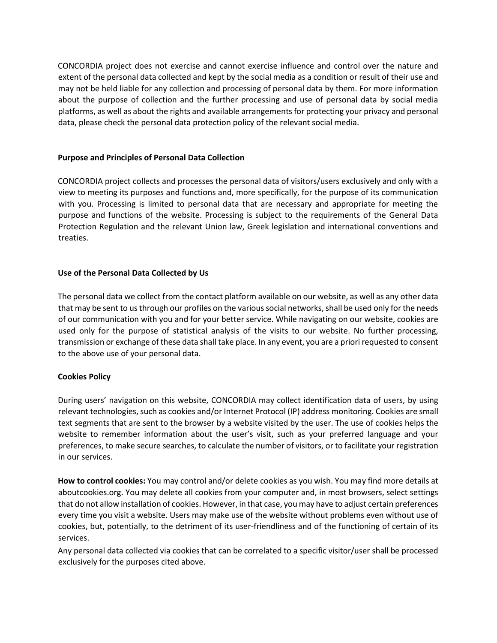CONCORDIA project does not exercise and cannot exercise influence and control over the nature and extent of the personal data collected and kept by the social media as a condition or result of their use and may not be held liable for any collection and processing of personal data by them. For more information about the purpose of collection and the further processing and use of personal data by social media platforms, as well as about the rights and available arrangements for protecting your privacy and personal data, please check the personal data protection policy of the relevant social media.

#### **Purpose and Principles of Personal Data Collection**

CONCORDIA project collects and processes the personal data of visitors/users exclusively and only with a view to meeting its purposes and functions and, more specifically, for the purpose of its communication with you. Processing is limited to personal data that are necessary and appropriate for meeting the purpose and functions of the website. Processing is subject to the requirements of the General Data Protection Regulation and the relevant Union law, Greek legislation and international conventions and treaties.

# **Use of the Personal Data Collected by Us**

The personal data we collect from the contact platform available on our website, as well as any other data that may be sent to us through our profiles on the various social networks, shall be used only for the needs of our communication with you and for your better service. While navigating on our website, cookies are used only for the purpose of statistical analysis of the visits to our website. No further processing, transmission or exchange of these data shall take place. In any event, you are a priori requested to consent to the above use of your personal data.

# **Cookies Policy**

During users' navigation on this website, CONCORDIA may collect identification data of users, by using relevant technologies, such as cookies and/or Internet Protocol (IP) address monitoring. Cookies are small text segments that are sent to the browser by a website visited by the user. The use of cookies helps the website to remember information about the user's visit, such as your preferred language and your preferences, to make secure searches, to calculate the number of visitors, or to facilitate your registration in our services.

**How to control cookies:** You may control and/or delete cookies as you wish. You may find more details at [aboutcookies.org.](http://www.aboutcookies.org/) You may delete all cookies from your computer and, in most browsers, select settings that do not allow installation of cookies. However, in that case, you may have to adjust certain preferences every time you visit a website. Users may make use of the website without problems even without use of cookies, but, potentially, to the detriment of its user-friendliness and of the functioning of certain of its services.

Any personal data collected via cookies that can be correlated to a specific visitor/user shall be processed exclusively for the purposes cited above.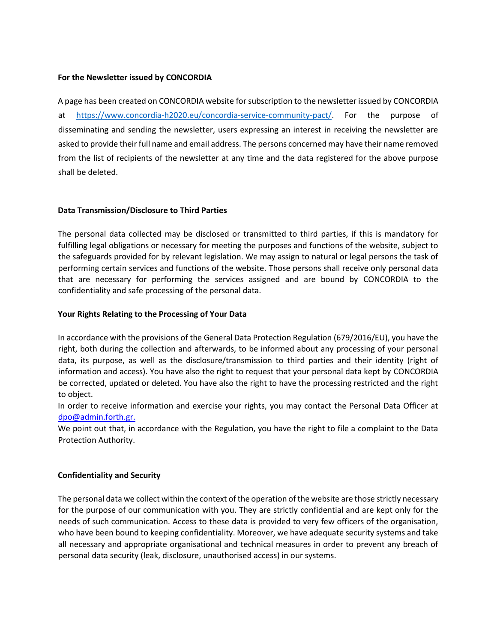# **For the Newsletter issued by CONCORDIA**

A page has been created on CONCORDIA website for subscription to the newsletter issued by CONCORDIA at [https://www.concordia-h2020.eu/concordia-service-community-pact/.](https://www.concordia-h2020.eu/concordia-service-community-pact/) For the purpose of disseminating and sending the newsletter, users expressing an interest in receiving the newsletter are asked to provide their full name and email address. The persons concerned may have their name removed from the list of recipients of the newsletter at any time and the data registered for the above purpose shall be deleted.

# **Data Transmission/Disclosure to Third Parties**

The personal data collected may be disclosed or transmitted to third parties, if this is mandatory for fulfilling legal obligations or necessary for meeting the purposes and functions of the website, subject to the safeguards provided for by relevant legislation. We may assign to natural or legal persons the task of performing certain services and functions of the website. Those persons shall receive only personal data that are necessary for performing the services assigned and are bound by CONCORDIA to the confidentiality and safe processing of the personal data.

#### **Your Rights Relating to the Processing of Your Data**

In accordance with the provisions of the General Data Protection Regulation (679/2016/EU), you have the right, both during the collection and afterwards, to be informed about any processing of your personal data, its purpose, as well as the disclosure/transmission to third parties and their identity (right of information and access). You have also the right to request that your personal data kept by CONCORDIA be corrected, updated or deleted. You have also the right to have the processing restricted and the right to object.

In order to receive information and exercise your rights, you may contact the Personal Data Officer at dpo@admin.forth.gr.

We point out that, in accordance with the Regulation, you have the right to file a complaint to the Data Protection Authority.

# **Confidentiality and Security**

The personal data we collect within the context of the operation of the website are those strictly necessary for the purpose of our communication with you. They are strictly confidential and are kept only for the needs of such communication. Access to these data is provided to very few officers of the organisation, who have been bound to keeping confidentiality. Moreover, we have adequate security systems and take all necessary and appropriate organisational and technical measures in order to prevent any breach of personal data security (leak, disclosure, unauthorised access) in our systems.